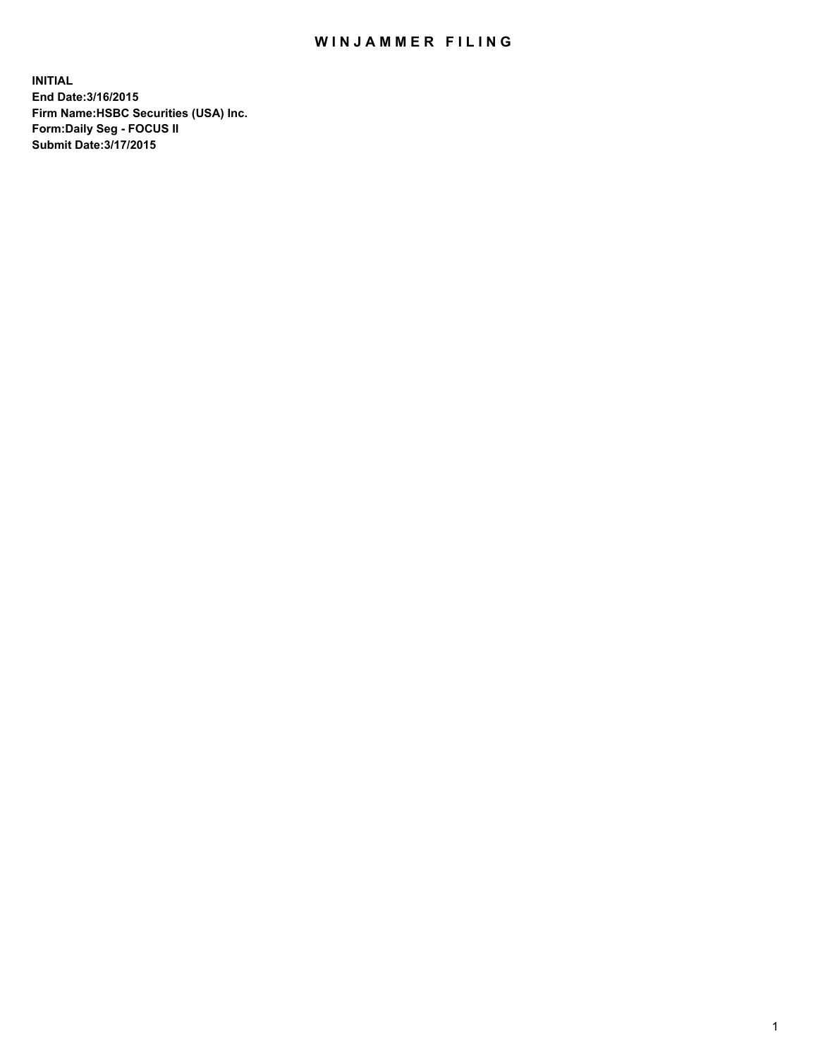## WIN JAMMER FILING

**INITIAL End Date:3/16/2015 Firm Name:HSBC Securities (USA) Inc. Form:Daily Seg - FOCUS II Submit Date:3/17/2015**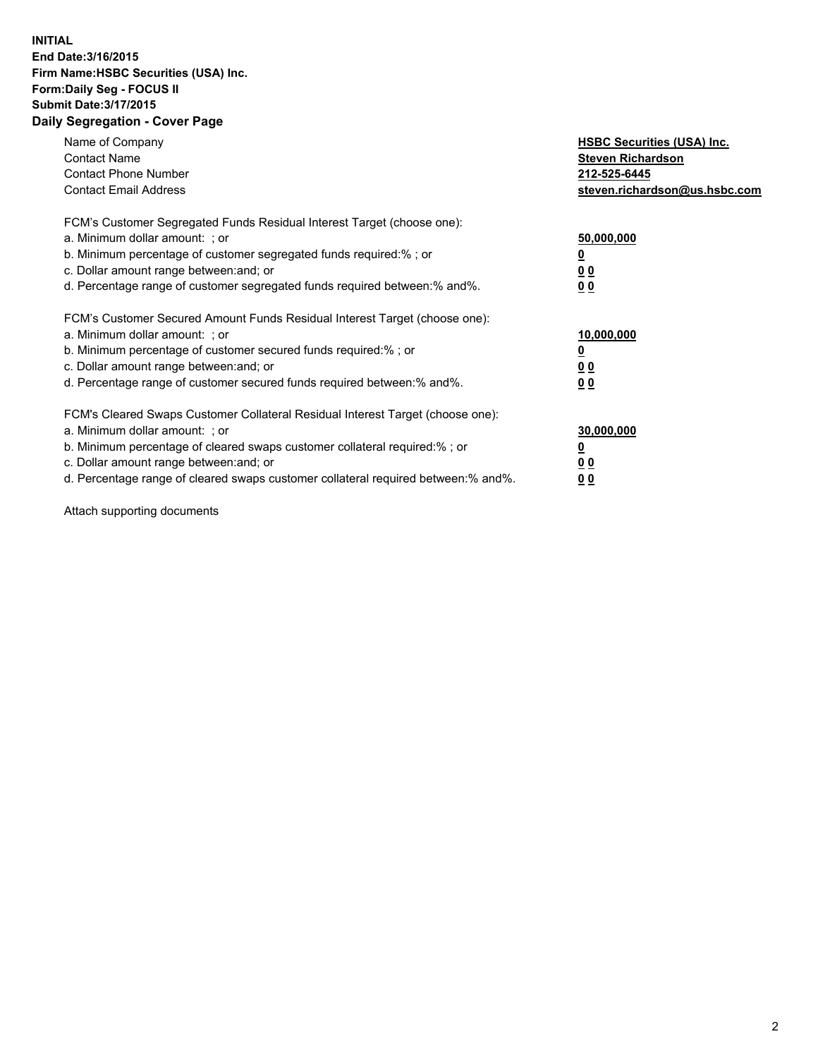## **INITIAL End Date:3/16/2015 Firm Name:HSBC Securities (USA) Inc. Form:Daily Seg - FOCUS II Submit Date:3/17/2015 Daily Segregation - Cover Page**

| Name of Company<br><b>Contact Name</b><br><b>Contact Phone Number</b><br><b>Contact Email Address</b>                                                                                                                                                                                                                          | <b>HSBC Securities (USA) Inc.</b><br><b>Steven Richardson</b><br>212-525-6445<br>steven.richardson@us.hsbc.com |
|--------------------------------------------------------------------------------------------------------------------------------------------------------------------------------------------------------------------------------------------------------------------------------------------------------------------------------|----------------------------------------------------------------------------------------------------------------|
| FCM's Customer Segregated Funds Residual Interest Target (choose one):<br>a. Minimum dollar amount: ; or<br>b. Minimum percentage of customer segregated funds required:%; or<br>c. Dollar amount range between: and; or<br>d. Percentage range of customer segregated funds required between: % and %.                        | 50,000,000<br>0 <sub>0</sub><br>0 <sub>0</sub>                                                                 |
| FCM's Customer Secured Amount Funds Residual Interest Target (choose one):<br>a. Minimum dollar amount: ; or<br>b. Minimum percentage of customer secured funds required:%; or<br>c. Dollar amount range between: and; or<br>d. Percentage range of customer secured funds required between:% and%.                            | 10,000,000<br><u>0</u><br>0 <sub>0</sub><br>0 <sub>0</sub>                                                     |
| FCM's Cleared Swaps Customer Collateral Residual Interest Target (choose one):<br>a. Minimum dollar amount: ; or<br>b. Minimum percentage of cleared swaps customer collateral required:% ; or<br>c. Dollar amount range between: and; or<br>d. Percentage range of cleared swaps customer collateral required between:% and%. | 30,000,000<br>00<br><u>00</u>                                                                                  |

Attach supporting documents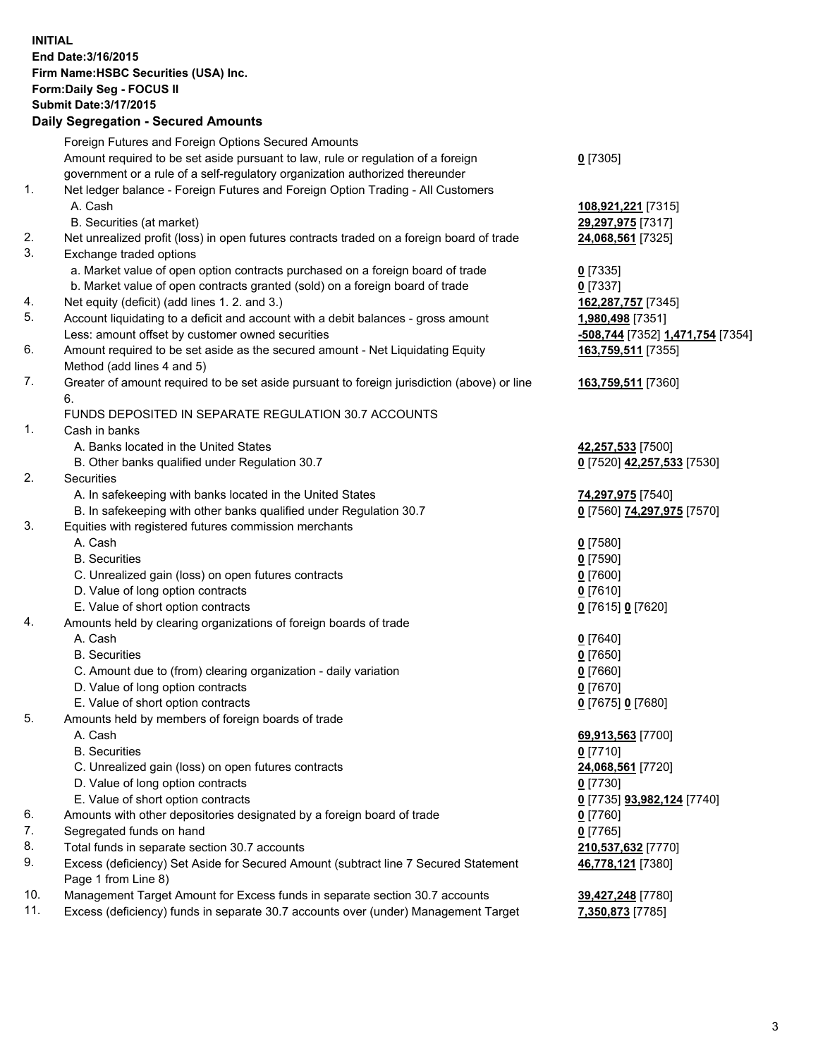**INITIAL End Date:3/16/2015 Firm Name:HSBC Securities (USA) Inc. Form:Daily Seg - FOCUS II Submit Date:3/17/2015 Daily Segregation - Secured Amounts**

Foreign Futures and Foreign Options Secured Amounts Amount required to be set aside pursuant to law, rule or regulation of a foreign government or a rule of a self-regulatory organization authorized thereunder **0** [7305] 1. Net ledger balance - Foreign Futures and Foreign Option Trading - All Customers A. Cash **108,921,221** [7315] B. Securities (at market) **29,297,975** [7317] 2. Net unrealized profit (loss) in open futures contracts traded on a foreign board of trade **24,068,561** [7325] 3. Exchange traded options a. Market value of open option contracts purchased on a foreign board of trade **0** [7335] b. Market value of open contracts granted (sold) on a foreign board of trade **0** [7337] 4. Net equity (deficit) (add lines 1. 2. and 3.) **162,287,757** [7345] 5. Account liquidating to a deficit and account with a debit balances - gross amount **1,980,498** [7351] Less: amount offset by customer owned securities **-508,744** [7352] **1,471,754** [7354] 6. Amount required to be set aside as the secured amount - Net Liquidating Equity Method (add lines 4 and 5) **163,759,511** [7355] 7. Greater of amount required to be set aside pursuant to foreign jurisdiction (above) or line 6. **163,759,511** [7360] FUNDS DEPOSITED IN SEPARATE REGULATION 30.7 ACCOUNTS 1. Cash in banks A. Banks located in the United States **42,257,533** [7500] B. Other banks qualified under Regulation 30.7 **0** [7520] **42,257,533** [7530] 2. Securities A. In safekeeping with banks located in the United States **74,297,975** [7540] B. In safekeeping with other banks qualified under Regulation 30.7 **0** [7560] **74,297,975** [7570] 3. Equities with registered futures commission merchants A. Cash **0** [7580] B. Securities **0** [7590] C. Unrealized gain (loss) on open futures contracts **0** [7600] D. Value of long option contracts **0** [7610] E. Value of short option contracts **0** [7615] **0** [7620] 4. Amounts held by clearing organizations of foreign boards of trade A. Cash **0** [7640] B. Securities **0** [7650] C. Amount due to (from) clearing organization - daily variation **0** [7660] D. Value of long option contracts **0** [7670] E. Value of short option contracts **0** [7675] **0** [7680] 5. Amounts held by members of foreign boards of trade A. Cash **69,913,563** [7700] B. Securities **0** [7710] C. Unrealized gain (loss) on open futures contracts **24,068,561** [7720] D. Value of long option contracts **0** [7730] E. Value of short option contracts **0** [7735] **93,982,124** [7740] 6. Amounts with other depositories designated by a foreign board of trade **0** [7760] 7. Segregated funds on hand **0** [7765] 8. Total funds in separate section 30.7 accounts **210,537,632** [7770] 9. Excess (deficiency) Set Aside for Secured Amount (subtract line 7 Secured Statement Page 1 from Line 8) **46,778,121** [7380] 10. Management Target Amount for Excess funds in separate section 30.7 accounts **39,427,248** [7780]

11. Excess (deficiency) funds in separate 30.7 accounts over (under) Management Target **7,350,873** [7785]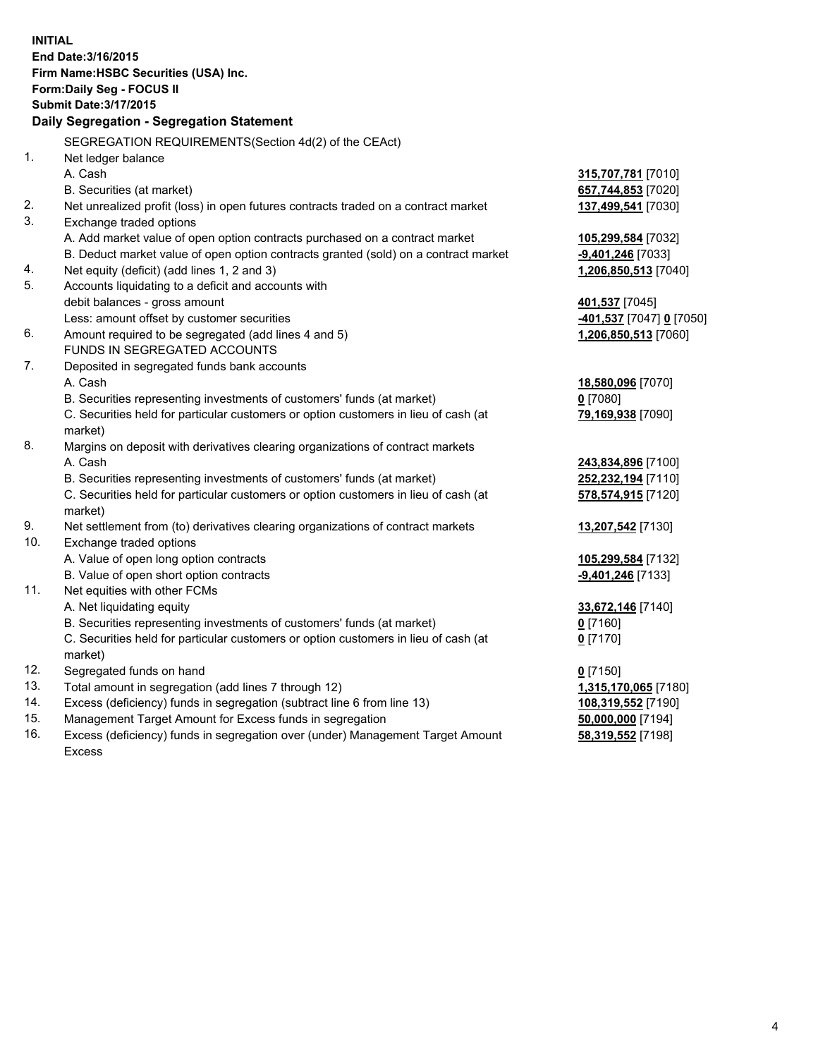| <b>INITIAL</b> | End Date: 3/16/2015<br>Firm Name: HSBC Securities (USA) Inc.<br>Form: Daily Seg - FOCUS II<br><b>Submit Date: 3/17/2015</b> |                                            |
|----------------|-----------------------------------------------------------------------------------------------------------------------------|--------------------------------------------|
|                | Daily Segregation - Segregation Statement                                                                                   |                                            |
|                | SEGREGATION REQUIREMENTS(Section 4d(2) of the CEAct)                                                                        |                                            |
| 1.             | Net ledger balance                                                                                                          |                                            |
|                | A. Cash                                                                                                                     | 315,707,781 [7010]                         |
|                | B. Securities (at market)                                                                                                   | 657,744,853 [7020]                         |
| 2.             | Net unrealized profit (loss) in open futures contracts traded on a contract market                                          | 137,499,541 [7030]                         |
| 3.             | Exchange traded options                                                                                                     |                                            |
|                | A. Add market value of open option contracts purchased on a contract market                                                 | 105,299,584 [7032]                         |
| 4.             | B. Deduct market value of open option contracts granted (sold) on a contract market                                         | -9,401,246 [7033]                          |
| 5.             | Net equity (deficit) (add lines 1, 2 and 3)                                                                                 | 1,206,850,513 [7040]                       |
|                | Accounts liquidating to a deficit and accounts with<br>debit balances - gross amount                                        |                                            |
|                | Less: amount offset by customer securities                                                                                  | 401,537 [7045]<br>-401,537 [7047] 0 [7050] |
| 6.             | Amount required to be segregated (add lines 4 and 5)                                                                        | 1,206,850,513 [7060]                       |
|                | FUNDS IN SEGREGATED ACCOUNTS                                                                                                |                                            |
| 7.             | Deposited in segregated funds bank accounts                                                                                 |                                            |
|                | A. Cash                                                                                                                     | 18,580,096 [7070]                          |
|                | B. Securities representing investments of customers' funds (at market)                                                      | $0$ [7080]                                 |
|                | C. Securities held for particular customers or option customers in lieu of cash (at                                         | 79,169,938 [7090]                          |
|                | market)                                                                                                                     |                                            |
| 8.             | Margins on deposit with derivatives clearing organizations of contract markets                                              |                                            |
|                | A. Cash                                                                                                                     | 243,834,896 [7100]                         |
|                | B. Securities representing investments of customers' funds (at market)                                                      | 252,232,194 [7110]                         |
|                | C. Securities held for particular customers or option customers in lieu of cash (at<br>market)                              | 578,574,915 [7120]                         |
| 9.             | Net settlement from (to) derivatives clearing organizations of contract markets                                             | 13,207,542 [7130]                          |
| 10.            | Exchange traded options                                                                                                     |                                            |
|                | A. Value of open long option contracts                                                                                      | 105,299,584 [7132]                         |
|                | B. Value of open short option contracts                                                                                     | -9,401,246 [7133]                          |
| 11.            | Net equities with other FCMs                                                                                                |                                            |
|                | A. Net liquidating equity                                                                                                   | 33,672,146 [7140]                          |
|                | B. Securities representing investments of customers' funds (at market)                                                      | 0 <sup>[7160]</sup>                        |
|                | C. Securities held for particular customers or option customers in lieu of cash (at                                         | $0$ [7170]                                 |
|                | market)                                                                                                                     |                                            |
| 12.            | Segregated funds on hand                                                                                                    | $0$ [7150]                                 |
| 13.            | Total amount in segregation (add lines 7 through 12)                                                                        | 1,315,170,065 [7180]                       |
| 14.            | Excess (deficiency) funds in segregation (subtract line 6 from line 13)                                                     | 108,319,552 [7190]                         |
| 15.            | Management Target Amount for Excess funds in segregation                                                                    | 50,000,000 [7194]                          |

16. Excess (deficiency) funds in segregation over (under) Management Target Amount Excess

**58,319,552** [7198]